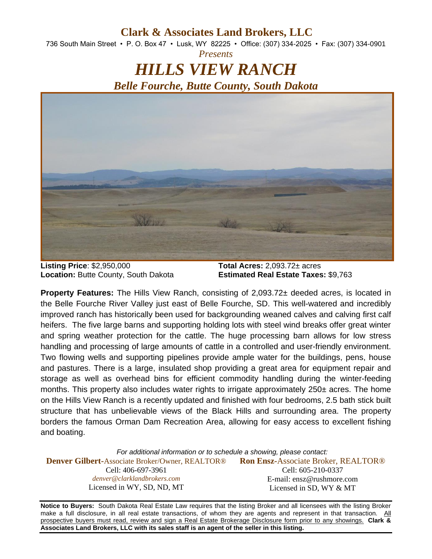## **Clark & Associates Land Brokers, LLC**

736 South Main Street • P. O. Box 47 • Lusk, WY 82225 • Office: (307) 334-2025 • Fax: (307) 334-0901 *Presents*

## *HILLS VIEW RANCH Belle Fourche, Butte County, South Dakota*



**Listing Price**: \$2,950,000 **Total Acres:** 2,093.72± acres

**Location:** Butte County, South Dakota **Estimated Real Estate Taxes:** \$9,763

**Property Features:** The Hills View Ranch, consisting of 2,093.72± deeded acres, is located in the Belle Fourche River Valley just east of Belle Fourche, SD. This well-watered and incredibly improved ranch has historically been used for backgrounding weaned calves and calving first calf heifers. The five large barns and supporting holding lots with steel wind breaks offer great winter and spring weather protection for the cattle. The huge processing barn allows for low stress handling and processing of large amounts of cattle in a controlled and user-friendly environment. Two flowing wells and supporting pipelines provide ample water for the buildings, pens, house and pastures. There is a large, insulated shop providing a great area for equipment repair and storage as well as overhead bins for efficient commodity handling during the winter-feeding months. This property also includes water rights to irrigate approximately 250± acres. The home on the Hills View Ranch is a recently updated and finished with four bedrooms, 2.5 bath stick built structure that has unbelievable views of the Black Hills and surrounding area. The property borders the famous Orman Dam Recreation Area, allowing for easy access to excellent fishing and boating.

*For additional information or to schedule a showing, please contact:* **Denver Gilbert-**Associate Broker/Owner, REALTOR® Cell: 406-697-3961 *denver@clarklandbrokers.com* Licensed in WY, SD, ND, MT **Ron Ensz-**Associate Broker, REALTOR® Cell: 605-210-0337 E-mail: ensz@rushmore.com Licensed in SD, WY & MT

**Notice to Buyers:** South Dakota Real Estate Law requires that the listing Broker and all licensees with the listing Broker make a full disclosure, in all real estate transactions, of whom they are agents and represent in that transaction. All prospective buyers must read, review and sign a Real Estate Brokerage Disclosure form prior to any showings. **Clark & Associates Land Brokers, LLC with its sales staff is an agent of the seller in this listing.**